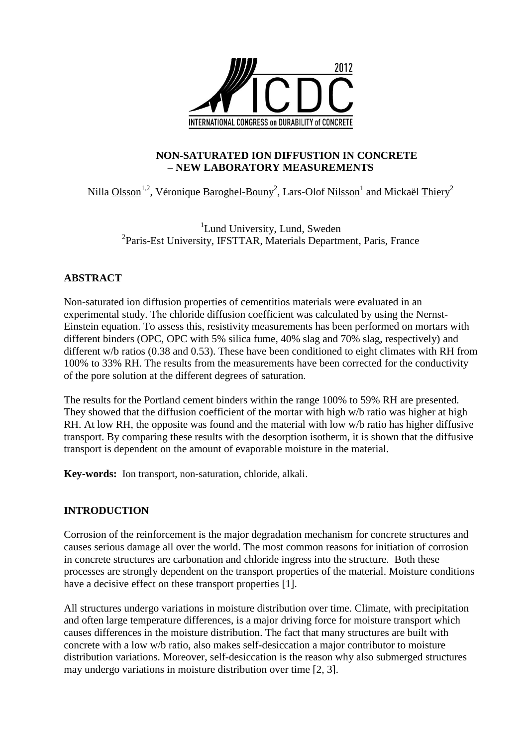

### **NON-SATURATED ION DIFFUSTION IN CONCRETE – NEW LABORATORY MEASUREMENTS**

# Nilla  $O$ lsson<sup>1,2</sup>, Véronique Baroghel-Bouny<sup>2</sup>, Lars-Olof Nilsson<sup>1</sup> and Mickaël Thiery<sup>2</sup>

<sup>1</sup>Lund University, Lund, Sweden <sup>2</sup>Paris-Est University, IFSTTAR, Materials Department, Paris, France

# **ABSTRACT**

Non-saturated ion diffusion properties of cementitios materials were evaluated in an experimental study. The chloride diffusion coefficient was calculated by using the Nernst-Einstein equation. To assess this, resistivity measurements has been performed on mortars with different binders (OPC, OPC with 5% silica fume, 40% slag and 70% slag, respectively) and different w/b ratios (0.38 and 0.53). These have been conditioned to eight climates with RH from 100% to 33% RH. The results from the measurements have been corrected for the conductivity of the pore solution at the different degrees of saturation.

The results for the Portland cement binders within the range 100% to 59% RH are presented. They showed that the diffusion coefficient of the mortar with high w/b ratio was higher at high RH. At low RH, the opposite was found and the material with low w/b ratio has higher diffusive transport. By comparing these results with the desorption isotherm, it is shown that the diffusive transport is dependent on the amount of evaporable moisture in the material.

**Key-words:** Ion transport, non-saturation, chloride, alkali.

# **INTRODUCTION**

Corrosion of the reinforcement is the major degradation mechanism for concrete structures and causes serious damage all over the world. The most common reasons for initiation of corrosion in concrete structures are carbonation and chloride ingress into the structure. Both these processes are strongly dependent on the transport properties of the material. Moisture conditions have a decisive effect on these transport properties [\[1\]](#page-11-0).

All structures undergo variations in moisture distribution over time. Climate, with precipitation and often large temperature differences, is a major driving force for moisture transport which causes differences in the moisture distribution. The fact that many structures are built with concrete with a low w/b ratio, also makes self-desiccation a major contributor to moisture distribution variations. Moreover, self-desiccation is the reason why also submerged structures may undergo variations in moisture distribution over time [\[2,](#page-11-1) [3\]](#page-11-2).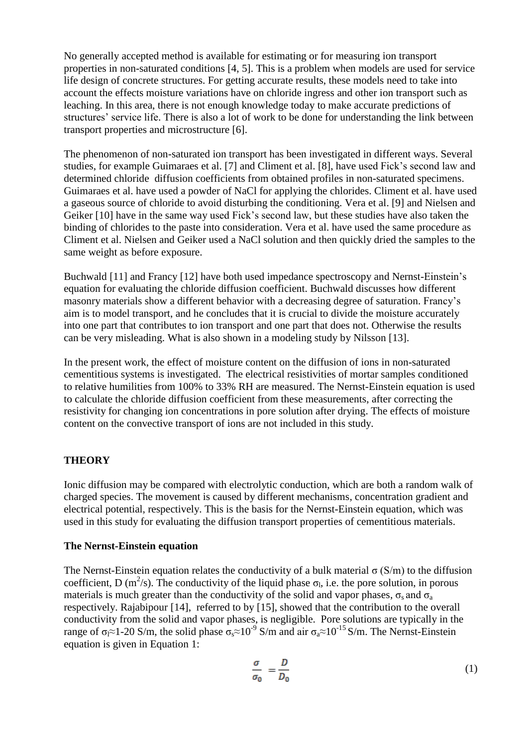No generally accepted method is available for estimating or for measuring ion transport properties in non-saturated conditions [\[4,](#page-11-3) [5\]](#page-11-4). This is a problem when models are used for service life design of concrete structures. For getting accurate results, these models need to take into account the effects moisture variations have on chloride ingress and other ion transport such as leaching. In this area, there is not enough knowledge today to make accurate predictions of structures' service life. There is also a lot of work to be done for understanding the link between transport properties and microstructure [\[6\]](#page-11-5).

The phenomenon of non-saturated ion transport has been investigated in different ways. Several studies, for example Guimaraes et al. [\[7\]](#page-12-0) and Climent et al. [\[8\]](#page-12-1), have used Fick's second law and determined chloride diffusion coefficients from obtained profiles in non-saturated specimens. Guimaraes et al. have used a powder of NaCl for applying the chlorides. Climent et al. have used a gaseous source of chloride to avoid disturbing the conditioning. Vera et al. [\[9\]](#page-12-2) and Nielsen and Geiker [\[10\]](#page-12-3) have in the same way used Fick's second law, but these studies have also taken the binding of chlorides to the paste into consideration. Vera et al. have used the same procedure as Climent et al. Nielsen and Geiker used a NaCl solution and then quickly dried the samples to the same weight as before exposure.

Buchwald [\[11\]](#page-12-4) and Francy [\[12\]](#page-12-5) have both used impedance spectroscopy and Nernst-Einstein's equation for evaluating the chloride diffusion coefficient. Buchwald discusses how different masonry materials show a different behavior with a decreasing degree of saturation. Francy's aim is to model transport, and he concludes that it is crucial to divide the moisture accurately into one part that contributes to ion transport and one part that does not. Otherwise the results can be very misleading. What is also shown in a modeling study by Nilsson [\[13\]](#page-12-6).

In the present work, the effect of moisture content on the diffusion of ions in non-saturated cementitious systems is investigated. The electrical resistivities of mortar samples conditioned to relative humilities from 100% to 33% RH are measured. The Nernst-Einstein equation is used to calculate the chloride diffusion coefficient from these measurements, after correcting the resistivity for changing ion concentrations in pore solution after drying. The effects of moisture content on the convective transport of ions are not included in this study.

# **THEORY**

Ionic diffusion may be compared with electrolytic conduction, which are both a random walk of charged species. The movement is caused by different mechanisms, concentration gradient and electrical potential, respectively. This is the basis for the Nernst-Einstein equation, which was used in this study for evaluating the diffusion transport properties of cementitious materials.

### **The Nernst-Einstein equation**

The Nernst-Einstein equation relates the conductivity of a bulk material  $\sigma(S/m)$  to the diffusion coefficient, D (m<sup>2</sup>/s). The conductivity of the liquid phase  $\sigma_l$ , i.e. the pore solution, in porous materials is much greater than the conductivity of the solid and vapor phases,  $\sigma_s$  and  $\sigma_a$ respectively. Rajabipour [\[14\]](#page-12-7), referred to by [\[15\]](#page-12-8), showed that the contribution to the overall conductivity from the solid and vapor phases, is negligible. Pore solutions are typically in the range of  $\sigma_1 \approx 1$ -20 S/m, the solid phase  $\sigma_8 \approx 10^{-9}$  S/m and air  $\sigma_8 \approx 10^{-15}$  S/m. The Nernst-Einstein equation is given in Equation 1:

$$
\frac{\sigma}{\sigma_0} = \frac{D}{D_0} \tag{1}
$$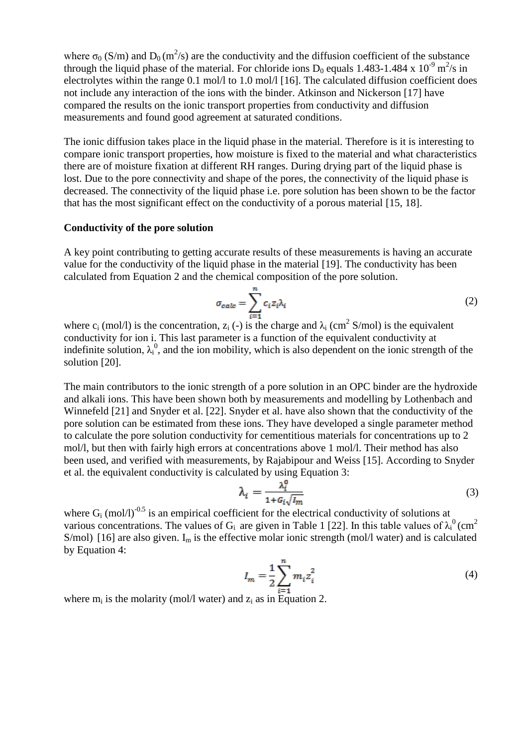where  $\sigma_0$  (S/m) and  $D_0$  (m<sup>2</sup>/s) are the conductivity and the diffusion coefficient of the substance through the liquid phase of the material. For chloride ions  $D_0$  equals 1.483-1.484 x 10<sup>-9</sup> m<sup>2</sup>/s in electrolytes within the range 0.1 mol/l to 1.0 mol/l [\[16\]](#page-12-9). The calculated diffusion coefficient does not include any interaction of the ions with the binder. Atkinson and Nickerson [\[17\]](#page-12-10) have compared the results on the ionic transport properties from conductivity and diffusion measurements and found good agreement at saturated conditions.

The ionic diffusion takes place in the liquid phase in the material. Therefore is it is interesting to compare ionic transport properties, how moisture is fixed to the material and what characteristics there are of moisture fixation at different RH ranges. During drying part of the liquid phase is lost. Due to the pore connectivity and shape of the pores, the connectivity of the liquid phase is decreased. The connectivity of the liquid phase i.e. pore solution has been shown to be the factor that has the most significant effect on the conductivity of a porous material [\[15,](#page-12-8) [18\]](#page-12-11).

### **Conductivity of the pore solution**

A key point contributing to getting accurate results of these measurements is having an accurate value for the conductivity of the liquid phase in the material [\[19\]](#page-12-12). The conductivity has been calculated from Equation 2 and the chemical composition of the pore solution.

$$
\sigma_{calc} = \sum_{i=1}^{n} c_i z_i \lambda_i
$$
 (2)

where  $c_i$  (mol/l) is the concentration,  $z_i$  (-) is the charge and  $\lambda_i$  (cm<sup>2</sup> S/mol) is the equivalent conductivity for ion i. This last parameter is a function of the equivalent conductivity at indefinite solution,  $\lambda_i^0$ , and the ion mobility, which is also dependent on the ionic strength of the solution [\[20\]](#page-12-13).

The main contributors to the ionic strength of a pore solution in an OPC binder are the hydroxide and alkali ions. This have been shown both by measurements and modelling by Lothenbach and Winnefeld [\[21\]](#page-12-14) and Snyder et al. [\[22\]](#page-12-15). Snyder et al. have also shown that the conductivity of the pore solution can be estimated from these ions. They have developed a single parameter method to calculate the pore solution conductivity for cementitious materials for concentrations up to 2 mol/l, but then with fairly high errors at concentrations above 1 mol/l. Their method has also been used, and verified with measurements, by Rajabipour and Weiss [\[15\]](#page-12-8). According to Snyder et al. the equivalent conductivity is calculated by using Equation 3:

$$
\lambda_i = \frac{\lambda_i^0}{1 + G_i \sqrt{I_m}} \tag{3}
$$

where  $G_i$  (mol/l)<sup>-0.5</sup> is an empirical coefficient for the electrical conductivity of solutions at various concentrations. The values of G<sub>i</sub> are given in Table 1 [\[22\]](#page-12-15). In this table values of  $\lambda_i^0$  (cm<sup>2</sup> S/mol) [\[16\]](#page-12-9) are also given.  $I_m$  is the effective molar ionic strength (mol/l water) and is calculated by Equation 4:

$$
I_m = \frac{1}{2} \sum_{i=1}^{n} m_i z_i^2
$$
 (4)

where  $m_i$  is the molarity (mol/l water) and  $z_i$  as in Equation 2.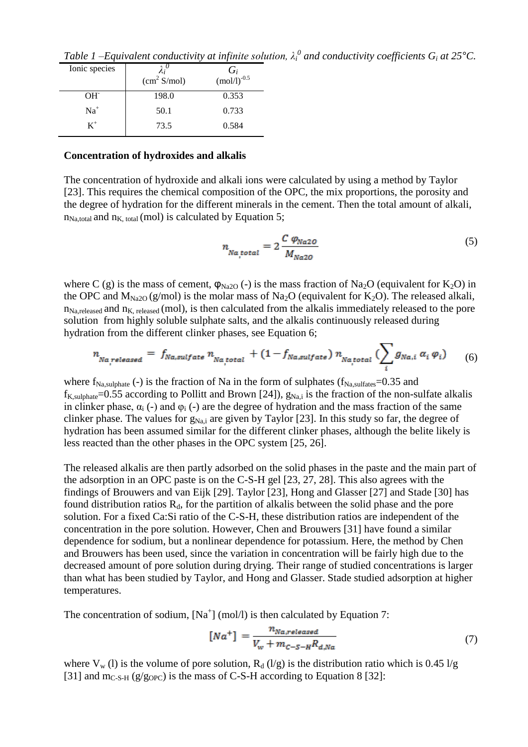| Ionic species | (cm <sup>2</sup> S/mol) | $G_i$ <sub>(mol/l)<sup>-0.5</sup></sub> |
|---------------|-------------------------|-----------------------------------------|
| $OH^-$        | 198.0                   | 0.353                                   |
| $Na+$         | 50.1                    | 0.733                                   |
| $\rm K^+$     | 73.5                    | 0.584                                   |

*Table 1 –Equivalent conductivity at infinite solution,*  $\lambda_i^0$  *and conductivity coefficients*  $G_i$  *at 25 °C.* 

#### **Concentration of hydroxides and alkalis**

The concentration of hydroxide and alkali ions were calculated by using a method by Taylor [\[23\]](#page-12-16). This requires the chemical composition of the OPC, the mix proportions, the porosity and the degree of hydration for the different minerals in the cement. Then the total amount of alkali,  $n_{\text{Na,total}}$  and  $n_{\text{K, total}}$  (mol) is calculated by Equation 5;

$$
n_{Na,total} = 2 \frac{C \varphi_{Na2O}}{M_{Na2O}}
$$
 (5)

where C (g) is the mass of cement,  $\varphi_{Na2O}$  (-) is the mass fraction of Na<sub>2</sub>O (equivalent for K<sub>2</sub>O) in the OPC and  $M_{Na2O}$  (g/mol) is the molar mass of Na<sub>2</sub>O (equivalent for K<sub>2</sub>O). The released alkali,  $n_{\text{Na.released}}$  and  $n_{\text{K.released}}$  (mol), is then calculated from the alkalis immediately released to the pore solution from highly soluble sulphate salts, and the alkalis continuously released during hydration from the different clinker phases, see Equation 6;

$$
n_{Na,released} = f_{Na,sulfate} n_{Na,total} + (1 - f_{Na,sulfate}) n_{Na,total} (\sum_{i} g_{Na,i} a_i \varphi_i)
$$
 (6)

where  $f_{\text{Na,sulphate}}$  (-) is the fraction of Na in the form of sulphates ( $f_{\text{Na,sulfates}}$ =0.35 and  $f_{K,subplate} = 0.55$  according to Pollitt and Brown [\[24\]](#page-12-17)),  $g_{Na,i}$  is the fraction of the non-sulfate alkalis in clinker phase,  $\alpha_i$  (-) and  $\varphi_i$  (-) are the degree of hydration and the mass fraction of the same clinker phase. The values for  $g_{Na,i}$  are given by Taylor [\[23\]](#page-12-16). In this study so far, the degree of hydration has been assumed similar for the different clinker phases, although the belite likely is less reacted than the other phases in the OPC system [\[25,](#page-12-18) [26\]](#page-12-19).

The released alkalis are then partly adsorbed on the solid phases in the paste and the main part of the adsorption in an OPC paste is on the C-S-H gel [\[23,](#page-12-16) [27,](#page-12-20) [28\]](#page-13-0). This also agrees with the findings of Brouwers and van Eijk [\[29\]](#page-13-1). Taylor [\[23\]](#page-12-16), Hong and Glasser [\[27\]](#page-12-20) and Stade [\[30\]](#page-13-2) has found distribution ratios  $R_d$ , for the partition of alkalis between the solid phase and the pore solution. For a fixed Ca:Si ratio of the C-S-H, these distribution ratios are independent of the concentration in the pore solution. However, Chen and Brouwers [\[31\]](#page-13-3) have found a similar dependence for sodium, but a nonlinear dependence for potassium. Here, the method by Chen and Brouwers has been used, since the variation in concentration will be fairly high due to the decreased amount of pore solution during drying. Their range of studied concentrations is larger than what has been studied by Taylor, and Hong and Glasser. Stade studied adsorption at higher temperatures.

The concentration of sodium,  $[Na^+]$  (mol/l) is then calculated by Equation 7:

$$
[Na^+] = \frac{n_{Na,relased}}{V_w + m_{C-S-H}R_{d,Na}}\tag{7}
$$

where  $V_w$  (l) is the volume of pore solution,  $R_d$  (l/g) is the distribution ratio which is 0.45 l/g [\[31\]](#page-13-3) and m<sub>C-S-H</sub> (g/g<sub>OPC</sub>) is the mass of C-S-H according to Equation 8 [\[32\]](#page-13-4):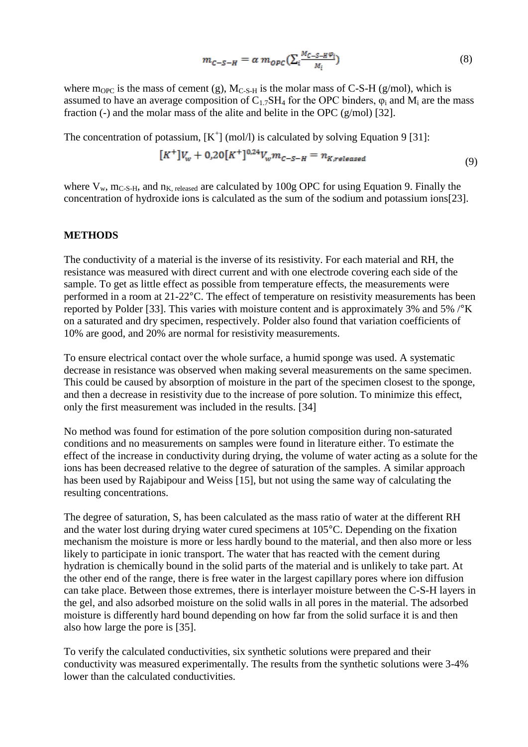$$
m_{C-S-H} = \alpha \ m_{OPC} \left( \sum_{i} \frac{M_{C-S-H} \varphi_i}{M_i} \right) \tag{8}
$$

where m<sub>OPC</sub> is the mass of cement (g),  $M_{C-S-H}$  is the molar mass of C-S-H (g/mol), which is assumed to have an average composition of  $C_{1.7}SH_4$  for the OPC binders,  $\varphi_i$  and  $M_i$  are the mass fraction (-) and the molar mass of the alite and belite in the OPC (g/mol) [\[32\]](#page-13-4).

The concentration of potassium,  $[K^+]$  (mol/l) is calculated by solving Equation 9 [\[31\]](#page-13-3):

$$
[K^+]V_w + 0.20[K^+]^{0.24}V_w m_{c-s-H} = n_{K, released}
$$
\n(9)

where  $V_w$ ,  $m_{C-S-H}$ , and  $n_{K. released}$  are calculated by 100g OPC for using Equation 9. Finally the concentration of hydroxide ions is calculated as the sum of the sodium and potassium ions[\[23\]](#page-12-16).

#### **METHODS**

The conductivity of a material is the inverse of its resistivity. For each material and RH, the resistance was measured with direct current and with one electrode covering each side of the sample. To get as little effect as possible from temperature effects, the measurements were performed in a room at 21-22°C. The effect of temperature on resistivity measurements has been reported by Polder [\[33\]](#page-13-5). This varies with moisture content and is approximately 3% and 5% /°K on a saturated and dry specimen, respectively. Polder also found that variation coefficients of 10% are good, and 20% are normal for resistivity measurements.

To ensure electrical contact over the whole surface, a humid sponge was used. A systematic decrease in resistance was observed when making several measurements on the same specimen. This could be caused by absorption of moisture in the part of the specimen closest to the sponge, and then a decrease in resistivity due to the increase of pore solution. To minimize this effect, only the first measurement was included in the results. [\[34\]](#page-13-6)

No method was found for estimation of the pore solution composition during non-saturated conditions and no measurements on samples were found in literature either. To estimate the effect of the increase in conductivity during drying, the volume of water acting as a solute for the ions has been decreased relative to the degree of saturation of the samples. A similar approach has been used by Rajabipour and Weiss [\[15\]](#page-12-8), but not using the same way of calculating the resulting concentrations.

The degree of saturation, S, has been calculated as the mass ratio of water at the different RH and the water lost during drying water cured specimens at 105°C. Depending on the fixation mechanism the moisture is more or less hardly bound to the material, and then also more or less likely to participate in ionic transport. The water that has reacted with the cement during hydration is chemically bound in the solid parts of the material and is unlikely to take part. At the other end of the range, there is free water in the largest capillary pores where ion diffusion can take place. Between those extremes, there is interlayer moisture between the C-S-H layers in the gel, and also adsorbed moisture on the solid walls in all pores in the material. The adsorbed moisture is differently hard bound depending on how far from the solid surface it is and then also how large the pore is [\[35\]](#page-13-7).

To verify the calculated conductivities, six synthetic solutions were prepared and their conductivity was measured experimentally. The results from the synthetic solutions were 3-4% lower than the calculated conductivities.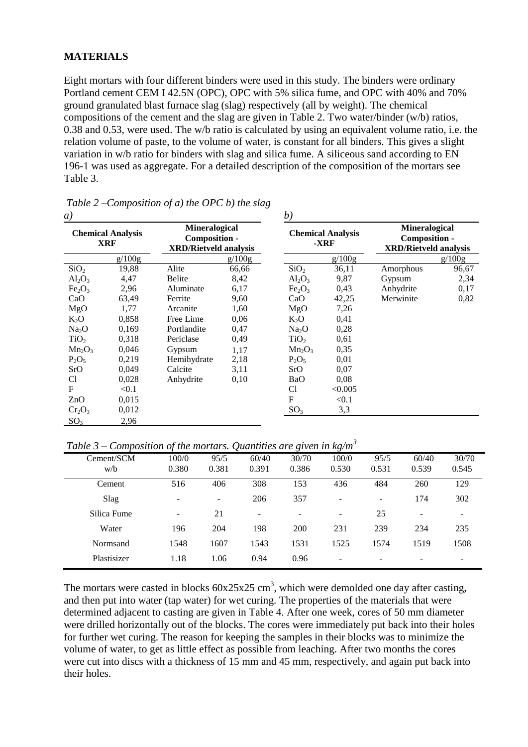### **MATERIALS**

Eight mortars with four different binders were used in this study. The binders were ordinary Portland cement CEM I 42.5N (OPC), OPC with 5% silica fume, and OPC with 40% and 70% ground granulated blast furnace slag (slag) respectively (all by weight). The chemical compositions of the cement and the slag are given in Table 2. Two water/binder (w/b) ratios, 0.38 and 0.53, were used. The w/b ratio is calculated by using an equivalent volume ratio, i.e. the relation volume of paste, to the volume of water, is constant for all binders. This gives a slight variation in w/b ratio for binders with slag and silica fume. A siliceous sand according to EN 196-1 was used as aggregate. For a detailed description of the composition of the mortars see Table 3.

| a)                                     |        |                                                                              |        | b)                             |                                  |                                                                       |        |  |
|----------------------------------------|--------|------------------------------------------------------------------------------|--------|--------------------------------|----------------------------------|-----------------------------------------------------------------------|--------|--|
| <b>Chemical Analysis</b><br><b>XRF</b> |        | <b>Mineralogical</b><br><b>Composition -</b><br><b>XRD/Rietveld analysis</b> |        |                                | <b>Chemical Analysis</b><br>-XRF | <b>Mineralogical</b><br>Composition -<br><b>XRD/Rietveld analysis</b> |        |  |
|                                        | g/100g |                                                                              | g/100g |                                | g/100g                           |                                                                       | g/100g |  |
| SiO <sub>2</sub>                       | 19,88  | Alite                                                                        | 66,66  | SiO <sub>2</sub>               | 36,11                            | Amorphous                                                             | 96,67  |  |
| $Al_2O_3$                              | 4,47   | <b>Belite</b>                                                                | 8,42   | $Al_2O_3$                      | 9,87                             | Gypsum                                                                | 2,34   |  |
| Fe <sub>2</sub> O <sub>3</sub>         | 2,96   | Aluminate                                                                    | 6,17   | Fe <sub>2</sub> O <sub>3</sub> | 0,43                             | Anhydrite                                                             | 0,17   |  |
| CaO                                    | 63,49  | Ferrite                                                                      | 9,60   | CaO                            | 42,25                            | Merwinite                                                             | 0,82   |  |
| MgO                                    | 1,77   | Arcanite                                                                     | 1,60   | MgO                            | 7,26                             |                                                                       |        |  |
| $K_2O$                                 | 0,858  | Free Lime                                                                    | 0,06   | $K_2O$                         | 0,41                             |                                                                       |        |  |
| Na <sub>2</sub> O                      | 0,169  | Portlandite                                                                  | 0,47   | Na <sub>2</sub> O              | 0,28                             |                                                                       |        |  |
| TiO <sub>2</sub>                       | 0.318  | Periclase                                                                    | 0.49   | TiO <sub>2</sub>               | 0,61                             |                                                                       |        |  |
| $Mn_2O_3$                              | 0,046  | Gypsum                                                                       | 1.17   | $Mn_2O_3$                      | 0,35                             |                                                                       |        |  |
| $P_2O_5$                               | 0,219  | Hemihydrate                                                                  | 2,18   | $P_2O_5$                       | 0,01                             |                                                                       |        |  |
| SrO                                    | 0,049  | Calcite                                                                      | 3,11   | SrO                            | 0,07                             |                                                                       |        |  |
| Cl                                     | 0,028  | Anhydrite                                                                    | 0.10   | BaO                            | 0,08                             |                                                                       |        |  |
| F                                      | < 0.1  |                                                                              |        | C <sub>1</sub>                 | < 0.005                          |                                                                       |        |  |
| ZnO                                    | 0,015  |                                                                              |        | F                              | < 0.1                            |                                                                       |        |  |
| Cr <sub>2</sub> O <sub>3</sub>         | 0,012  |                                                                              |        | SO <sub>3</sub>                | 3,3                              |                                                                       |        |  |
| SO <sub>3</sub>                        | 2,96   |                                                                              |        |                                |                                  |                                                                       |        |  |

*Table 2 –Composition of a) the OPC b) the slag* 

*Table 3 – Composition of the mortars. Quantities are given in kg/m<sup>3</sup>* 

| Cement/SCM  | 100/0 | 95/5                     | 60/40                    | 30/70           | 100/0                    | 95/5              | 60/40                    | 30/70 |
|-------------|-------|--------------------------|--------------------------|-----------------|--------------------------|-------------------|--------------------------|-------|
| w/b         | 0.380 | 0.381                    | 0.391                    | 0.386           | 0.530                    | 0.531             | 0.539                    | 0.545 |
| Cement      | 516   | 406                      | 308                      | 153             | 436                      | 484               | 260                      | 129   |
| Slag        | -     | $\overline{\phantom{a}}$ | 206                      | 357             | $\overline{\phantom{a}}$ | $\qquad \qquad -$ | 174                      | 302   |
| Silica Fume | -     | 21                       | $\overline{\phantom{0}}$ | $\qquad \qquad$ | -                        | 25                | $\overline{\phantom{a}}$ | -     |
| Water       | 196   | 204                      | 198                      | 200             | 231                      | 239               | 234                      | 235   |
| Normsand    | 1548  | 1607                     | 1543                     | 1531            | 1525                     | 1574              | 1519                     | 1508  |
| Plastisizer | 1.18  | 1.06                     | 0.94                     | 0.96            | -                        | -                 |                          |       |
|             |       |                          |                          |                 |                          |                   |                          |       |

The mortars were casted in blocks  $60x25x25$  cm<sup>3</sup>, which were demolded one day after casting, and then put into water (tap water) for wet curing. The properties of the materials that were determined adjacent to casting are given in Table 4. After one week, cores of 50 mm diameter were drilled horizontally out of the blocks. The cores were immediately put back into their holes for further wet curing. The reason for keeping the samples in their blocks was to minimize the volume of water, to get as little effect as possible from leaching. After two months the cores were cut into discs with a thickness of 15 mm and 45 mm, respectively, and again put back into their holes.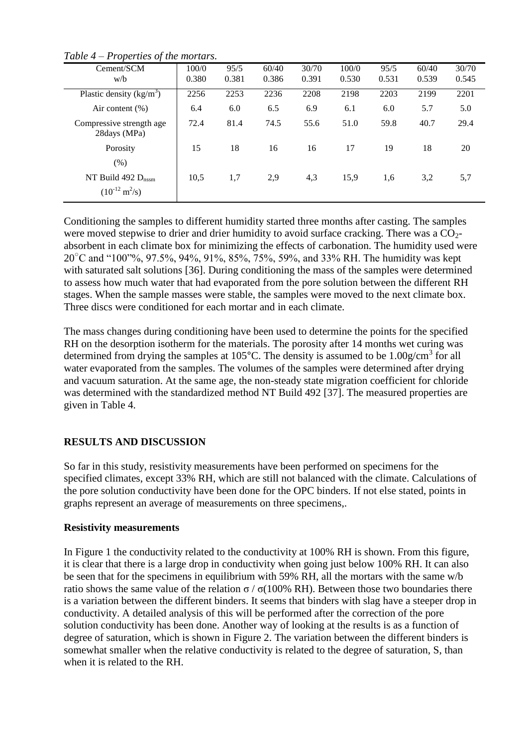| $\cdot$                                                      |       |       |       |       |       |       |       |       |
|--------------------------------------------------------------|-------|-------|-------|-------|-------|-------|-------|-------|
| Cement/SCM                                                   | 100/0 | 95/5  | 60/40 | 30/70 | 100/0 | 95/5  | 60/40 | 30/70 |
| w/b                                                          | 0.380 | 0.381 | 0.386 | 0.391 | 0.530 | 0.531 | 0.539 | 0.545 |
| Plastic density $(kg/m^3)$                                   | 2256  | 2253  | 2236  | 2208  | 2198  | 2203  | 2199  | 2201  |
| Air content $(\%)$                                           | 6.4   | 6.0   | 6.5   | 6.9   | 6.1   | 6.0   | 5.7   | 5.0   |
| Compressive strength age<br>28days (MPa)                     | 72.4  | 81.4  | 74.5  | 55.6  | 51.0  | 59.8  | 40.7  | 29.4  |
| Porosity                                                     | 15    | 18    | 16    | 16    | 17    | 19    | 18    | 20    |
| (% )                                                         |       |       |       |       |       |       |       |       |
| NT Build 492 $D_{nssm}$<br>$(10^{-12} \text{ m}^2/\text{s})$ | 10,5  | 1,7   | 2,9   | 4,3   | 15,9  | 1,6   | 3,2   | 5,7   |

*Table 4 – Properties of the mortars.*

Conditioning the samples to different humidity started three months after casting. The samples were moved stepwise to drier and drier humidity to avoid surface cracking. There was a  $CO<sub>2</sub>$ absorbent in each climate box for minimizing the effects of carbonation. The humidity used were  $20^{\circ}$ C and "100"%, 97.5%, 94%, 91%, 85%, 75%, 59%, and 33% RH. The humidity was kept with saturated salt solutions [\[36\]](#page-13-8). During conditioning the mass of the samples were determined to assess how much water that had evaporated from the pore solution between the different RH stages. When the sample masses were stable, the samples were moved to the next climate box. Three discs were conditioned for each mortar and in each climate.

The mass changes during conditioning have been used to determine the points for the specified RH on the desorption isotherm for the materials. The porosity after 14 months wet curing was determined from drying the samples at  $105^{\circ}$ C. The density is assumed to be  $1.00$ g/cm<sup>3</sup> for all water evaporated from the samples. The volumes of the samples were determined after drying and vacuum saturation. At the same age, the non-steady state migration coefficient for chloride was determined with the standardized method NT Build 492 [\[37\]](#page-13-9). The measured properties are given in Table 4.

# **RESULTS AND DISCUSSION**

So far in this study, resistivity measurements have been performed on specimens for the specified climates, except 33% RH, which are still not balanced with the climate. Calculations of the pore solution conductivity have been done for the OPC binders. If not else stated, points in graphs represent an average of measurements on three specimens,.

### **Resistivity measurements**

In Figure 1 the conductivity related to the conductivity at 100% RH is shown. From this figure, it is clear that there is a large drop in conductivity when going just below 100% RH. It can also be seen that for the specimens in equilibrium with 59% RH, all the mortars with the same w/b ratio shows the same value of the relation σ / σ(100% RH). Between those two boundaries there is a variation between the different binders. It seems that binders with slag have a steeper drop in conductivity. A detailed analysis of this will be performed after the correction of the pore solution conductivity has been done. Another way of looking at the results is as a function of degree of saturation, which is shown in Figure 2. The variation between the different binders is somewhat smaller when the relative conductivity is related to the degree of saturation, S, than when it is related to the RH.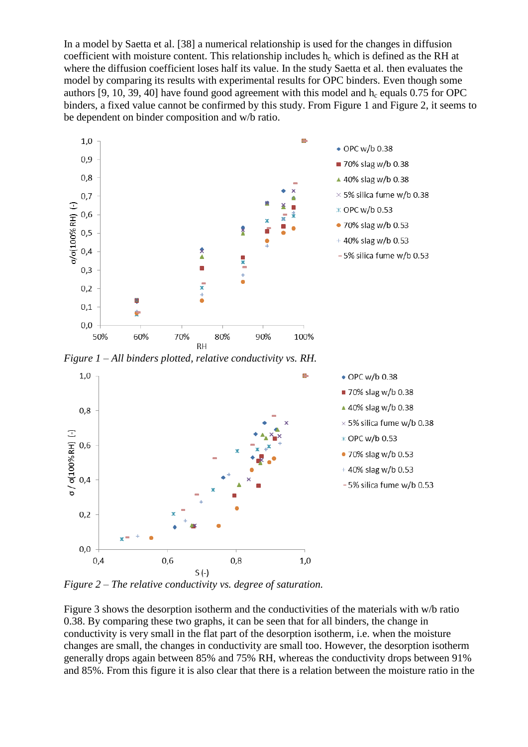In a model by Saetta et al. [\[38\]](#page-13-10) a numerical relationship is used for the changes in diffusion coefficient with moisture content. This relationship includes  $h_c$  which is defined as the RH at where the diffusion coefficient loses half its value. In the study Saetta et al. then evaluates the model by comparing its results with experimental results for OPC binders. Even though some authors [\[9,](#page-12-2) [10,](#page-12-3) [39,](#page-13-11) [40\]](#page-13-12) have found good agreement with this model and  $h_c$  equals 0.75 for OPC binders, a fixed value cannot be confirmed by this study. From Figure 1 and Figure 2, it seems to be dependent on binder composition and w/b ratio.



*Figure 1 – All binders plotted, relative conductivity vs. RH.*



*Figure 2 – The relative conductivity vs. degree of saturation.* 

Figure 3 shows the desorption isotherm and the conductivities of the materials with w/b ratio 0.38. By comparing these two graphs, it can be seen that for all binders, the change in conductivity is very small in the flat part of the desorption isotherm, i.e. when the moisture changes are small, the changes in conductivity are small too. However, the desorption isotherm generally drops again between 85% and 75% RH, whereas the conductivity drops between 91% and 85%. From this figure it is also clear that there is a relation between the moisture ratio in the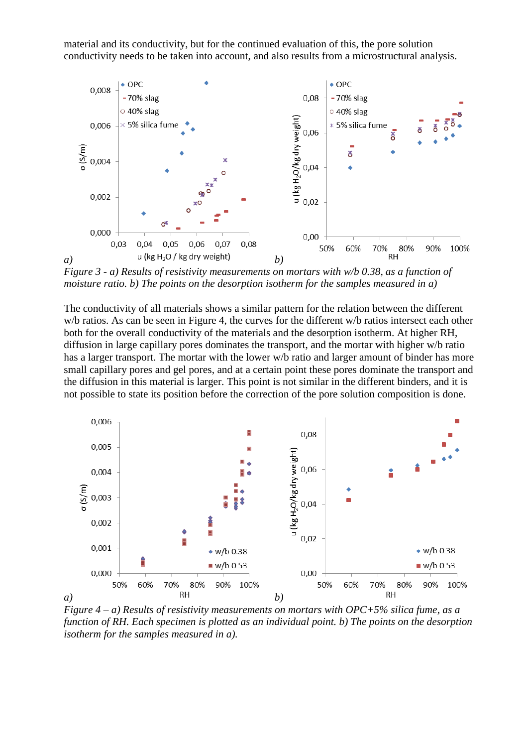material and its conductivity, but for the continued evaluation of this, the pore solution conductivity needs to be taken into account, and also results from a microstructural analysis.



*Figure 3 - a) Results of resistivity measurements on mortars with w/b 0.38, as a function of moisture ratio. b) The points on the desorption isotherm for the samples measured in a)* 

The conductivity of all materials shows a similar pattern for the relation between the different w/b ratios. As can be seen in Figure 4, the curves for the different w/b ratios intersect each other both for the overall conductivity of the materials and the desorption isotherm. At higher RH, diffusion in large capillary pores dominates the transport, and the mortar with higher w/b ratio has a larger transport. The mortar with the lower w/b ratio and larger amount of binder has more small capillary pores and gel pores, and at a certain point these pores dominate the transport and the diffusion in this material is larger. This point is not similar in the different binders, and it is not possible to state its position before the correction of the pore solution composition is done.



*Figure 4 – a) Results of resistivity measurements on mortars with OPC+5% silica fume, as a function of RH. Each specimen is plotted as an individual point. b) The points on the desorption isotherm for the samples measured in a).*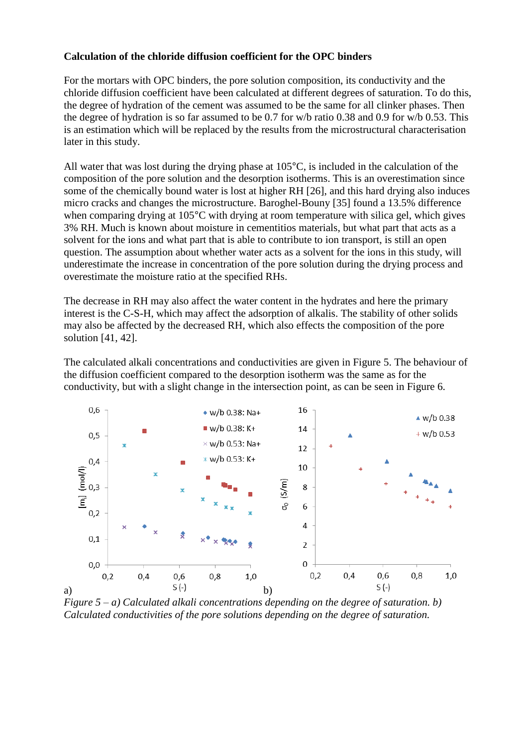### **Calculation of the chloride diffusion coefficient for the OPC binders**

For the mortars with OPC binders, the pore solution composition, its conductivity and the chloride diffusion coefficient have been calculated at different degrees of saturation. To do this, the degree of hydration of the cement was assumed to be the same for all clinker phases. Then the degree of hydration is so far assumed to be 0.7 for w/b ratio 0.38 and 0.9 for w/b 0.53. This is an estimation which will be replaced by the results from the microstructural characterisation later in this study.

All water that was lost during the drying phase at 105°C, is included in the calculation of the composition of the pore solution and the desorption isotherms. This is an overestimation since some of the chemically bound water is lost at higher RH [\[26\]](#page-12-19), and this hard drying also induces micro cracks and changes the microstructure. Baroghel-Bouny [\[35\]](#page-13-7) found a 13.5% difference when comparing drying at 105<sup>o</sup>C with drying at room temperature with silica gel, which gives 3% RH. Much is known about moisture in cementitios materials, but what part that acts as a solvent for the ions and what part that is able to contribute to ion transport, is still an open question. The assumption about whether water acts as a solvent for the ions in this study, will underestimate the increase in concentration of the pore solution during the drying process and overestimate the moisture ratio at the specified RHs.

The decrease in RH may also affect the water content in the hydrates and here the primary interest is the C-S-H, which may affect the adsorption of alkalis. The stability of other solids may also be affected by the decreased RH, which also effects the composition of the pore solution [\[41,](#page-13-13) [42\]](#page-13-14).

The calculated alkali concentrations and conductivities are given in Figure 5. The behaviour of the diffusion coefficient compared to the desorption isotherm was the same as for the conductivity, but with a slight change in the intersection point, as can be seen in Figure 6.



*Figure 5 – a) Calculated alkali concentrations depending on the degree of saturation. b) Calculated conductivities of the pore solutions depending on the degree of saturation.*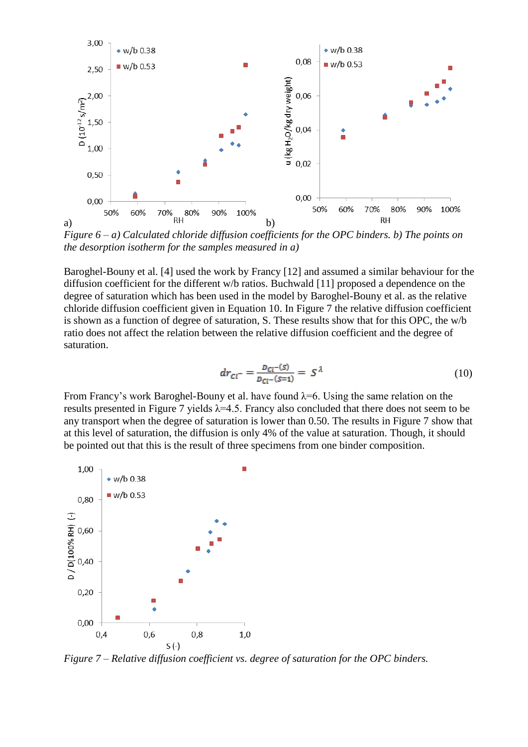

*Figure 6 – a) Calculated chloride diffusion coefficients for the OPC binders. b) The points on the desorption isotherm for the samples measured in a)* 

Baroghel-Bouny et al. [\[4\]](#page-11-3) used the work by Francy [\[12\]](#page-12-5) and assumed a similar behaviour for the diffusion coefficient for the different w/b ratios. Buchwald [\[11\]](#page-12-4) proposed a dependence on the degree of saturation which has been used in the model by Baroghel-Bouny et al. as the relative chloride diffusion coefficient given in Equation 10. In Figure 7 the relative diffusion coefficient is shown as a function of degree of saturation, S. These results show that for this OPC, the w/b ratio does not affect the relation between the relative diffusion coefficient and the degree of saturation.

$$
dr_{Cl^-} = \frac{D_{Cl^-}(s)}{D_{Cl^-}(s=1)} = S^{\lambda}
$$
 (10)

From Francy's work Baroghel-Bouny et al. have found  $\lambda = 6$ . Using the same relation on the results presented in Figure 7 yields  $\lambda$ =4.5. Francy also concluded that there does not seem to be any transport when the degree of saturation is lower than 0.50. The results in Figure 7 show that at this level of saturation, the diffusion is only 4% of the value at saturation. Though, it should be pointed out that this is the result of three specimens from one binder composition.



*Figure 7 – Relative diffusion coefficient vs. degree of saturation for the OPC binders.*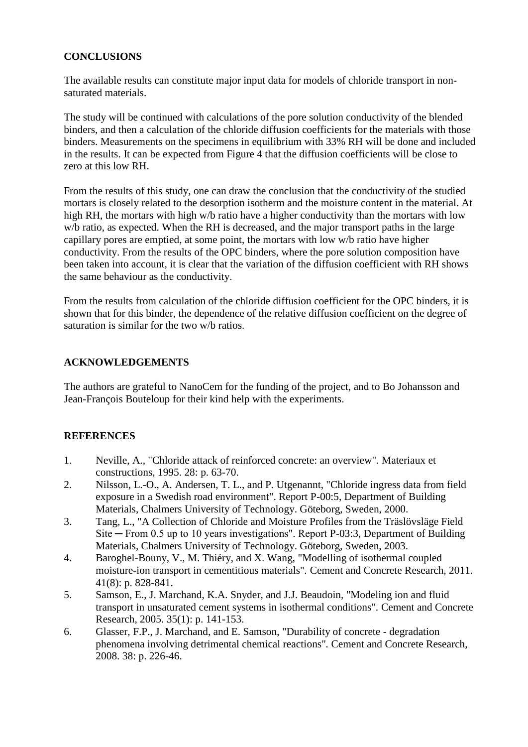# **CONCLUSIONS**

The available results can constitute major input data for models of chloride transport in nonsaturated materials.

The study will be continued with calculations of the pore solution conductivity of the blended binders, and then a calculation of the chloride diffusion coefficients for the materials with those binders. Measurements on the specimens in equilibrium with 33% RH will be done and included in the results. It can be expected from Figure 4 that the diffusion coefficients will be close to zero at this low RH.

From the results of this study, one can draw the conclusion that the conductivity of the studied mortars is closely related to the desorption isotherm and the moisture content in the material. At high RH, the mortars with high w/b ratio have a higher conductivity than the mortars with low w/b ratio, as expected. When the RH is decreased, and the major transport paths in the large capillary pores are emptied, at some point, the mortars with low w/b ratio have higher conductivity. From the results of the OPC binders, where the pore solution composition have been taken into account, it is clear that the variation of the diffusion coefficient with RH shows the same behaviour as the conductivity.

From the results from calculation of the chloride diffusion coefficient for the OPC binders, it is shown that for this binder, the dependence of the relative diffusion coefficient on the degree of saturation is similar for the two w/b ratios.

# **ACKNOWLEDGEMENTS**

The authors are grateful to NanoCem for the funding of the project, and to Bo Johansson and Jean-François Bouteloup for their kind help with the experiments.

# **REFERENCES**

- <span id="page-11-0"></span>1. Neville, A., "Chloride attack of reinforced concrete: an overview"*.* Materiaux et constructions, 1995. 28: p. 63-70.
- <span id="page-11-1"></span>2. Nilsson, L.-O., A. Andersen, T. L., and P. Utgenannt, "Chloride ingress data from field exposure in a Swedish road environment". Report P-00:5, Department of Building Materials, Chalmers University of Technology. Göteborg, Sweden, 2000.
- <span id="page-11-2"></span>3. Tang, L., "A Collection of Chloride and Moisture Profiles from the Träslövsläge Field Site ─ From 0.5 up to 10 years investigations". Report P-03:3, Department of Building Materials, Chalmers University of Technology. Göteborg, Sweden, 2003.
- <span id="page-11-3"></span>4. Baroghel-Bouny, V., M. Thiéry, and X. Wang, "Modelling of isothermal coupled moisture-ion transport in cementitious materials"*.* Cement and Concrete Research, 2011. 41(8): p. 828-841.
- <span id="page-11-4"></span>5. Samson, E., J. Marchand, K.A. Snyder, and J.J. Beaudoin, "Modeling ion and fluid transport in unsaturated cement systems in isothermal conditions"*.* Cement and Concrete Research, 2005. 35(1): p. 141-153.
- <span id="page-11-5"></span>6. Glasser, F.P., J. Marchand, and E. Samson, "Durability of concrete - degradation phenomena involving detrimental chemical reactions"*.* Cement and Concrete Research, 2008. 38: p. 226-46.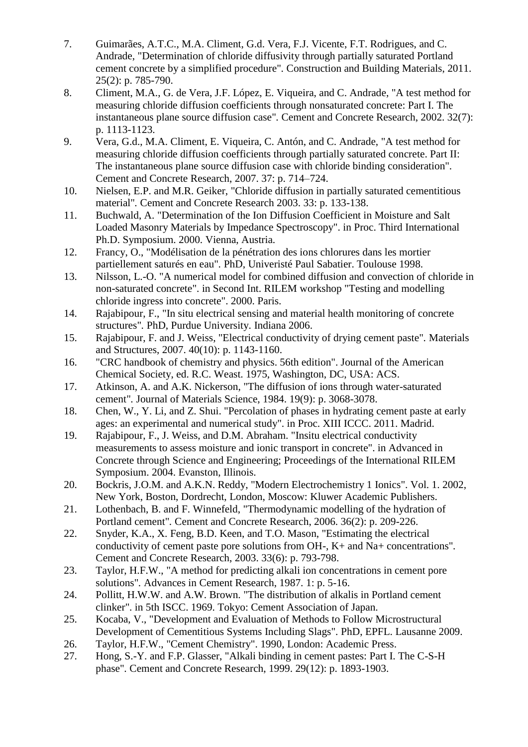- <span id="page-12-0"></span>7. Guimarães, A.T.C., M.A. Climent, G.d. Vera, F.J. Vicente, F.T. Rodrigues, and C. Andrade, "Determination of chloride diffusivity through partially saturated Portland cement concrete by a simplified procedure"*.* Construction and Building Materials, 2011. 25(2): p. 785-790.
- <span id="page-12-1"></span>8. Climent, M.A., G. de Vera, J.F. López, E. Viqueira, and C. Andrade, "A test method for measuring chloride diffusion coefficients through nonsaturated concrete: Part I. The instantaneous plane source diffusion case"*.* Cement and Concrete Research, 2002. 32(7): p. 1113-1123.
- <span id="page-12-2"></span>9. Vera, G.d., M.A. Climent, E. Viqueira, C. Antón, and C. Andrade, "A test method for measuring chloride diffusion coefficients through partially saturated concrete. Part II: The instantaneous plane source diffusion case with chloride binding consideration"*.* Cement and Concrete Research, 2007. 37: p. 714–724.
- <span id="page-12-3"></span>10. Nielsen, E.P. and M.R. Geiker, "Chloride diffusion in partially saturated cementitious material"*.* Cement and Concrete Research 2003. 33: p. 133-138.
- <span id="page-12-4"></span>11. Buchwald, A. "Determination of the Ion Diffusion Coefficient in Moisture and Salt Loaded Masonry Materials by Impedance Spectroscopy". in Proc. Third International Ph.D. Symposium. 2000. Vienna, Austria.
- <span id="page-12-5"></span>12. Francy, O., "Modélisation de la pénétration des ions chlorures dans les mortier partiellement saturés en eau"*.* PhD, Univeristé Paul Sabatier. Toulouse 1998.
- <span id="page-12-6"></span>13. Nilsson, L.-O. "A numerical model for combined diffusion and convection of chloride in non-saturated concrete". in Second Int. RILEM workshop "Testing and modelling chloride ingress into concrete". 2000. Paris.
- <span id="page-12-7"></span>14. Rajabipour, F., "In situ electrical sensing and material health monitoring of concrete structures"*.* PhD, Purdue University. Indiana 2006.
- <span id="page-12-8"></span>15. Rajabipour, F. and J. Weiss, "Electrical conductivity of drying cement paste"*.* Materials and Structures, 2007. 40(10): p. 1143-1160.
- <span id="page-12-9"></span>16. "CRC handbook of chemistry and physics. 56th edition". Journal of the American Chemical Society, ed. R.C. Weast. 1975, Washington, DC, USA: ACS.
- <span id="page-12-10"></span>17. Atkinson, A. and A.K. Nickerson, "The diffusion of ions through water-saturated cement"*.* Journal of Materials Science, 1984. 19(9): p. 3068-3078.
- <span id="page-12-11"></span>18. Chen, W., Y. Li, and Z. Shui. "Percolation of phases in hydrating cement paste at early ages: an experimental and numerical study". in Proc. XIII ICCC. 2011. Madrid.
- <span id="page-12-12"></span>19. Rajabipour, F., J. Weiss, and D.M. Abraham. "Insitu electrical conductivity measurements to assess moisture and ionic transport in concrete". in Advanced in Concrete through Science and Engineering; Proceedings of the International RILEM Symposium. 2004. Evanston, Illinois.
- <span id="page-12-13"></span>20. Bockris, J.O.M. and A.K.N. Reddy, "Modern Electrochemistry 1 Ionics". Vol. 1. 2002, New York, Boston, Dordrecht, London, Moscow: Kluwer Academic Publishers.
- <span id="page-12-14"></span>21. Lothenbach, B. and F. Winnefeld, "Thermodynamic modelling of the hydration of Portland cement"*.* Cement and Concrete Research, 2006. 36(2): p. 209-226.
- <span id="page-12-15"></span>22. Snyder, K.A., X. Feng, B.D. Keen, and T.O. Mason, "Estimating the electrical conductivity of cement paste pore solutions from OH-, K+ and Na+ concentrations"*.* Cement and Concrete Research, 2003. 33(6): p. 793-798.
- <span id="page-12-16"></span>23. Taylor, H.F.W., "A method for predicting alkali ion concentrations in cement pore solutions"*.* Advances in Cement Research, 1987. 1: p. 5-16.
- <span id="page-12-17"></span>24. Pollitt, H.W.W. and A.W. Brown. "The distribution of alkalis in Portland cement clinker". in 5th ISCC. 1969. Tokyo: Cement Association of Japan.
- <span id="page-12-18"></span>25. Kocaba, V., "Development and Evaluation of Methods to Follow Microstructural Development of Cementitious Systems Including Slags"*.* PhD, EPFL. Lausanne 2009.
- <span id="page-12-19"></span>26. Taylor, H.F.W., "Cement Chemistry". 1990, London: Academic Press.
- <span id="page-12-20"></span>27. Hong, S.-Y. and F.P. Glasser, "Alkali binding in cement pastes: Part I. The C-S-H phase"*.* Cement and Concrete Research, 1999. 29(12): p. 1893-1903.